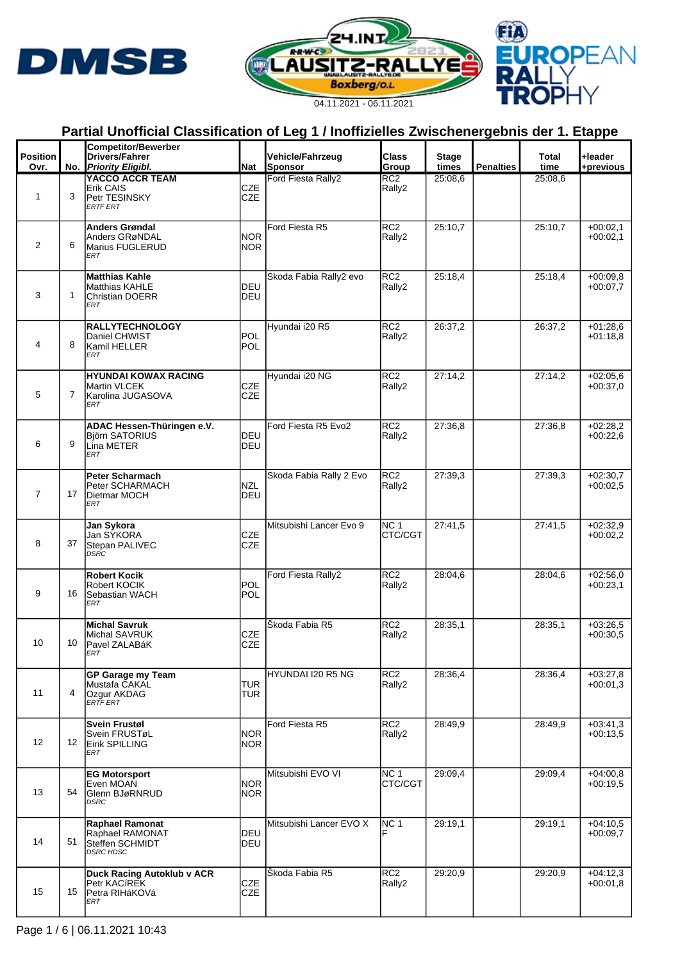





| <b>Position</b><br>Ovr. |    | <b>Competitor/Bewerber</b><br>Drivers/Fahrer<br>No. Priority Eligibl.          | Nat                      | Vehicle/Fahrzeug<br>Sponsor | <b>Class</b><br>Group      | <b>Stage</b><br>times | <b>Penalties</b> | Total<br>time | +leader<br>+previous     |
|-------------------------|----|--------------------------------------------------------------------------------|--------------------------|-----------------------------|----------------------------|-----------------------|------------------|---------------|--------------------------|
|                         |    | YACCO ACCR TEAM                                                                |                          | Ford Fiesta Rally2          | RC <sub>2</sub>            | 25:08,6               |                  | 25:08,6       |                          |
| 1                       | 3  | Erik CAIS<br>Petr TESINSKY<br><b>ERTF ERT</b>                                  | <b>CZE</b><br><b>CZE</b> |                             | Rally2                     |                       |                  |               |                          |
| 2                       | 6  | Anders Grøndal<br>Anders GRøNDAL<br>Marius FUGLERUD<br>ERT                     | <b>NOR</b><br><b>NOR</b> | Ford Fiesta R5              | RC <sub>2</sub><br>Rally2  | 25:10,7               |                  | 25:10,7       | $+00:02,1$<br>$+00:02,1$ |
| 3                       | 1  | Matthias Kahle<br><b>Matthias KAHLE</b><br><b>Christian DOERR</b><br>ERT       | DEU<br>DEU               | Skoda Fabia Rally2 evo      | RC <sub>2</sub><br>Rally2  | 25:18,4               |                  | 25:18,4       | $+00:09,8$<br>$+00:07,7$ |
| 4                       | 8  | <b>RALLYTECHNOLOGY</b><br>Daniel CHWIST<br>Kamil HELLER<br><b>ERT</b>          | POL<br><b>POL</b>        | Hyundai i20 R5              | RC <sub>2</sub><br>Rally2  | 26:37,2               |                  | 26:37,2       | $+01:28,6$<br>$+01:18.8$ |
| 5                       | 7  | <b>HYUNDAI KOWAX RACING</b><br>Martin VLCEK<br>Karolina JUGASOVA<br><b>ERT</b> | CZE<br><b>CZE</b>        | Hyundai i20 NG              | RC <sub>2</sub><br>Rally2  | 27:14,2               |                  | 27:14,2       | $+02:05,6$<br>$+00:37,0$ |
| 6                       | 9  | ADAC Hessen-Thüringen e.V.<br><b>Björn SATORIUS</b><br>Lina METER<br>ERT       | DEU<br>DEU               | Ford Fiesta R5 Evo2         | RC <sub>2</sub><br>Rally2  | 27:36,8               |                  | 27:36,8       | $+02:28,2$<br>$+00:22,6$ |
| $\overline{7}$          | 17 | Peter Scharmach<br>Peter SCHARMACH<br>Dietmar MOCH<br><b>ERT</b>               | <b>NZL</b><br>DEU        | Skoda Fabia Rally 2 Evo     | RC2<br>Rally2              | 27:39,3               |                  | 27:39,3       | $+02:30,7$<br>$+00:02,5$ |
| 8                       | 37 | Jan Sykora<br>Jan SÝKORA<br>Stepan PALIVEC<br><b>DSRC</b>                      | <b>CZE</b><br><b>CZE</b> | Mitsubishi Lancer Evo 9     | NC <sub>1</sub><br>CTC/CGT | 27:41.5               |                  | 27:41,5       | $+02:32,9$<br>$+00:02.2$ |
| 9                       | 16 | <b>Robert Kocik</b><br>Robert KOCIK<br>Sebastian WACH<br><b>ERT</b>            | POL<br>POL               | Ford Fiesta Rally2          | RC <sub>2</sub><br>Rally2  | 28:04,6               |                  | 28:04,6       | $+02:56,0$<br>$+00:23,1$ |
| 10                      | 10 | <b>Michal Savruk</b><br>Michal SAVRUK<br>Pavel ZALABáK<br>ER I                 | <b>CZE</b><br><b>CZE</b> | Škoda Fabia R5              | RC <sub>2</sub><br>Rally2  | 28:35.1               |                  | 28:35.1       | $+03:26,5$<br>$+00:30,5$ |
| 11                      | 4  | <b>GP Garage my Team</b><br>Mustafa CAKAL<br>Ozgur AKDAG<br>ERTF ERT           | <b>TUR</b><br><b>TUR</b> | HYUNDAI I20 R5 NG           | RC <sub>2</sub><br>Rally2  | 28:36,4               |                  | 28:36,4       | $+03:27,8$<br>$+00:01,3$ |
| 12                      | 12 | <b>Svein Frustøl</b><br>Svein FRUSTøL<br>Eirik SPILLING<br>ERT                 | <b>NOR</b><br><b>NOR</b> | Ford Fiesta R5              | RC <sub>2</sub><br>Rally2  | 28:49,9               |                  | 28:49.9       | $+03:41,3$<br>$+00:13,5$ |
| 13                      | 54 | <b>EG Motorsport</b><br>Even MOAN<br>Glenn BJøRNRUD<br><b>DSRC</b>             | <b>NOR</b><br><b>NOR</b> | Mitsubishi EVO VI           | NC <sub>1</sub><br>CTC/CGT | 29:09,4               |                  | 29:09,4       | $+04:00,8$<br>$+00:19,5$ |
| 14                      | 51 | Raphael Ramonat<br>Raphael RAMONAT<br>Steffen SCHMIDT<br><b>DSRC HDSC</b>      | <b>DEU</b><br><b>DEU</b> | Mitsubishi Lancer EVO X     | NC <sub>1</sub>            | 29:19.1               |                  | 29:19,1       | $+04:10,5$<br>$+00:09,7$ |
| 15                      | 15 | Duck Racing Autoklub v ACR<br>Petr KACíREK<br>Petra RIHáKOVá<br>ERT            | CZE<br>CZE               | Skoda Fabia R5              | RC <sub>2</sub><br>Rally2  | 29:20,9               |                  | 29:20,9       | $+04:12,3$<br>$+00:01,8$ |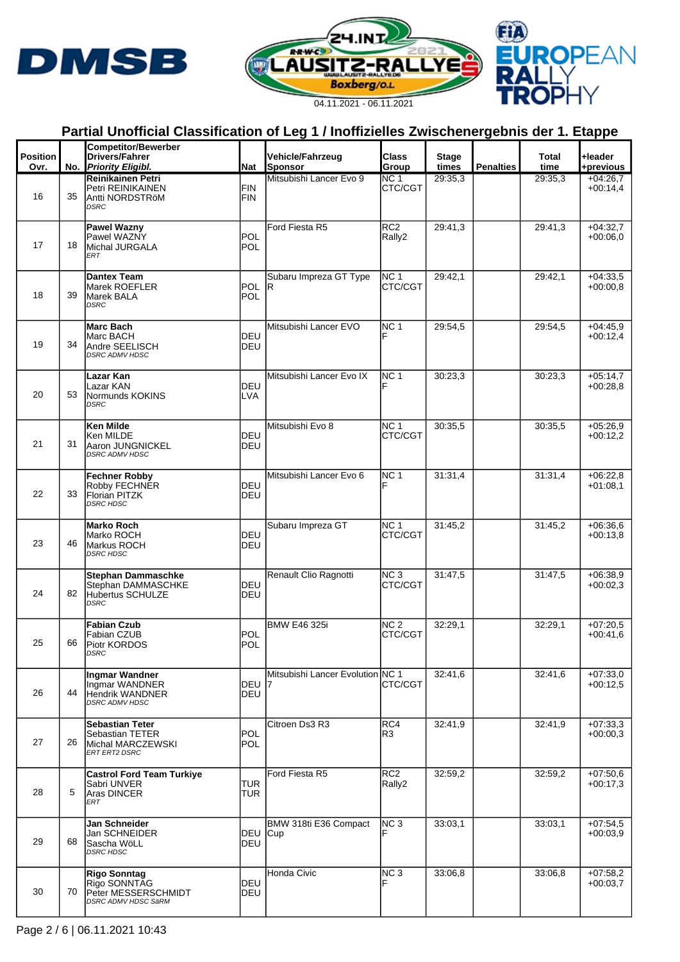





|                         |    | <b>Competitor/Bewerber</b>                                                                 |                          |                                  |                            |                       |                  |                      |                          |
|-------------------------|----|--------------------------------------------------------------------------------------------|--------------------------|----------------------------------|----------------------------|-----------------------|------------------|----------------------|--------------------------|
| <b>Position</b><br>Ovr. |    | <b>Drivers/Fahrer</b><br>No. Priority Eligibl.                                             | Nat                      | Vehicle/Fahrzeug<br>Sponsor      | Class<br>Group             | <b>Stage</b><br>times | <b>Penalties</b> | <b>Total</b><br>time | +leader<br>+previous     |
|                         |    | Reinikainen Petri                                                                          |                          | Mitsubishi Lancer Evo 9          | NC 1                       | 29:35.3               |                  | 29:35,3              | $+04:26.7$               |
| 16                      | 35 | Petri REINIKAINEN<br>Antti NORDSTRöM<br><b>DSRC</b>                                        | FIN<br><b>FIN</b>        |                                  | CTC/CGT                    |                       |                  |                      | $+00:14,4$               |
| 17                      | 18 | <b>Pawel Wazny</b><br>Pawel WAZNY<br>Michal JURGALA<br>ERT                                 | <b>POL</b><br><b>POL</b> | Ford Fiesta R5                   | RC <sub>2</sub><br>Rally2  | 29:41.3               |                  | 29:41,3              | $+04:32,7$<br>$+00:06.0$ |
| 18                      | 39 | <b>Dantex Team</b><br>Marek ROEFLER<br>Marek BALA<br><b>DSRC</b>                           | <b>POL</b><br><b>POL</b> | Subaru Impreza GT Type<br>lR.    | NC <sub>1</sub><br>CTC/CGT | 29:42,1               |                  | 29:42,1              | $+04:33,5$<br>$+00:00.8$ |
| 19                      | 34 | Marc Bach<br>Marc BACH<br>Andre SEELISCH<br><b>DSRC ADMV HDSC</b>                          | <b>DEU</b><br>DEU        | Mitsubishi Lancer EVO            | NC <sub>1</sub>            | 29:54,5               |                  | 29:54,5              | $+04:45.9$<br>$+00:12.4$ |
| 20                      | 53 | <b>Lazar Kan</b><br>Lazar KAN<br>Normunds KOKINS<br><b>DSRC</b>                            | DEU<br><b>LVA</b>        | Mitsubishi Lancer Evo IX         | NC <sub>1</sub>            | 30:23,3               |                  | 30:23.3              | $+05:14,7$<br>$+00:28,8$ |
| 21                      | 31 | Ken Milde<br>Ken MILDE<br>Aaron JUNGNICKEL<br><b>DSRC ADMV HDSC</b>                        | DEU<br>DEU               | Mitsubishi Evo 8                 | NC <sub>1</sub><br>CTC/CGT | 30:35,5               |                  | 30:35,5              | $+05:26,9$<br>$+00:12.2$ |
| 22                      | 33 | Fechner Robby<br>Robby FECHNER<br>Florian PITZK<br><b>DSRC HDSC</b>                        | DEU<br>DEU               | Mitsubishi Lancer Evo 6          | NC <sub>1</sub>            | 31:31,4               |                  | 31:31,4              | $+06:22,8$<br>$+01:08,1$ |
| 23                      | 46 | <b>Marko Roch</b><br>Marko ROCH<br>Markus ROCH<br><b>DSRC HDSC</b>                         | DEU<br>DEU               | Subaru Impreza GT                | <b>NC 1</b><br>CTC/CGT     | 31:45.2               |                  | 31:45,2              | $+06:36,6$<br>$+00:13.8$ |
| 24                      | 82 | <b>Stephan Dammaschke</b><br>Stephan DAMMASCHKE<br>Hubertus SCHULZE<br><b>DSRC</b>         | DEU<br>DEU               | Renault Clio Ragnotti            | NC <sub>3</sub><br>CTC/CGT | 31:47,5               |                  | 31:47,5              | $+06:38,9$<br>$+00:02.3$ |
| 25                      | 66 | <b>Fabian Czub</b><br>Fabian CZUB<br>Piotr KORDOS<br>DSRC                                  | <b>POL</b><br><b>POL</b> | <b>BMW E46 325i</b>              | NC <sub>2</sub><br>CTC/CGT | 32:29,1               |                  | 32:29,1              | $+07:20.5$<br>$+00:41,6$ |
| 26                      | 44 | <b>Ingmar Wandner</b><br>Ingmar WANDNER<br><b>Hendrik WANDNER</b><br><b>DSRC ADMV HDSC</b> | DEU 7<br>DEU             | Mitsubishi Lancer Evolution NC 1 | CTC/CGT                    | 32:41,6               |                  | 32:41,6              | $+07:33,0$<br>$+00:12.5$ |
| 27                      | 26 | <b>Sebastian Teter</b><br>Sebastian TETER<br>Michal MARCZEWSKI<br>ERT ERT2 DSRC            | <b>POL</b><br><b>POL</b> | Citroen Ds3 R3                   | RC4<br>R3                  | 32:41,9               |                  | 32:41,9              | $+07:33,3$<br>$+00:00,3$ |
| 28                      | 5  | <b>Castrol Ford Team Turkiye</b><br>Sabri UNVER<br>Aras DINCER<br>ERT                      | <b>TUR</b><br><b>TUR</b> | Ford Fiesta R5                   | RC <sub>2</sub><br>Rally2  | 32:59,2               |                  | 32:59,2              | $+07:50,6$<br>$+00:17,3$ |
| 29                      | 68 | Jan Schneider<br>Jan SCHNEIDER<br>Sascha WöLL<br><b>DSRC HDSC</b>                          | DEU Cup<br><b>DEU</b>    | BMW 318ti E36 Compact            | NC <sub>3</sub>            | 33:03,1               |                  | 33:03,1              | $+07:54.5$<br>$+00:03.9$ |
| 30                      | 70 | Rigo Sonntag<br>Rigo SONNTAG<br>Peter MESSERSCHMIDT<br>DSRC ADMV HDSC SäRM                 | DEU<br>DEU               | Honda Civic                      | NC <sub>3</sub>            | 33:06,8               |                  | 33:06,8              | $+07:58,2$<br>$+00:03,7$ |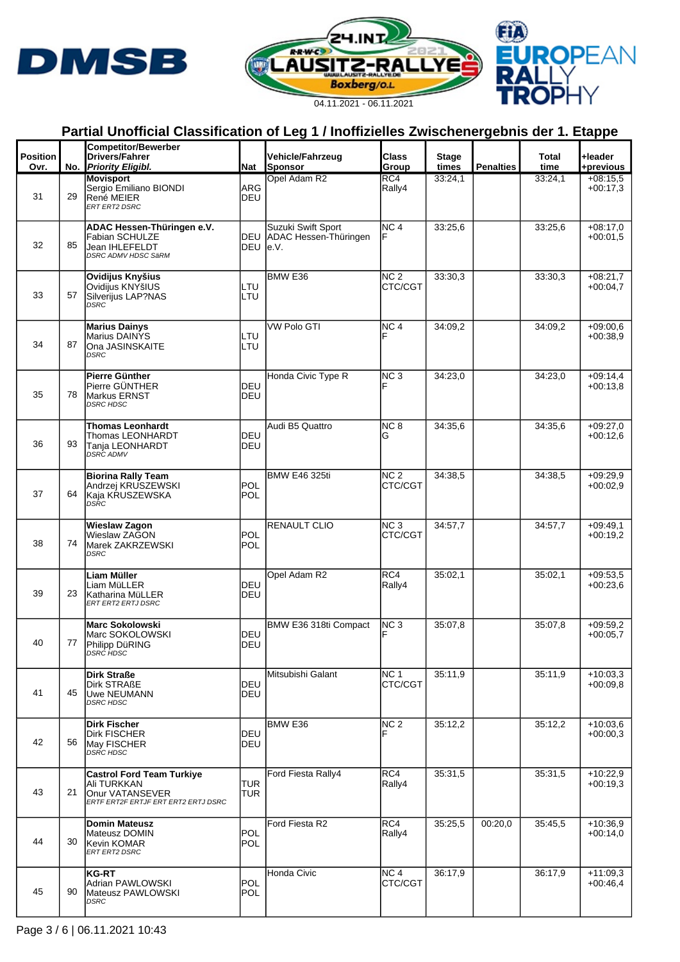





| <b>Position</b> |    | <b>Competitor/Bewerber</b><br><b>Drivers/Fahrer</b>                                                               |                          | Vehicle/Fahrzeug                                | <b>Class</b>                      | <b>Stage</b> |                  | Total   | +leader                  |
|-----------------|----|-------------------------------------------------------------------------------------------------------------------|--------------------------|-------------------------------------------------|-----------------------------------|--------------|------------------|---------|--------------------------|
| Ovr.            |    | No. Priority Eligibl.                                                                                             | <b>Nat</b>               | Sponsor                                         | Group                             | times        | <b>Penalties</b> | time    | +previous                |
| 31              | 29 | <b>Movisport</b><br>Sergio Emiliano BIONDI<br>René MEIER<br>ERT ERT2 DSRC                                         | ARG<br>DEU               | Opel Adam R2                                    | RC4<br>Rally4                     | 33:24,1      |                  | 33:24,1 | $+08:15.5$<br>$+00:17,3$ |
| 32              | 85 | <b>ADAC Hessen-Thüringen e.V.</b><br><b>Fabian SCHULZE</b><br><b>Jean IHLEFELDT</b><br><b>DSRC ADMV HDSC SäRM</b> | DEU e.V.                 | Suzuki Swift Sport<br>DEU ADAC Hessen-Thüringen | NC <sub>4</sub>                   | 33:25.6      |                  | 33:25.6 | $+08:17,0$<br>$+00:01,5$ |
| 33              | 57 | Ovidijus Knyšius<br>Ovidijus KNYšIUS<br>Silverijus LAP?NAS<br><b>DSRC</b>                                         | LTU<br>LTU               | BMW <sub>E36</sub>                              | NC <sub>2</sub><br>CTC/CGT        | 33:30.3      |                  | 33:30.3 | $+08:21.7$<br>$+00:04.7$ |
| 34              | 87 | <b>Marius Dainys</b><br>Marius DAINYS<br>Ona JASINSKAITE<br><b>DSRC</b>                                           | LTU<br>LTU               | <b>VW Polo GTI</b>                              | NC <sub>4</sub>                   | 34:09.2      |                  | 34:09.2 | $+09:00.6$<br>$+00:38.9$ |
| 35              | 78 | Pierre Günther<br>Pierre GÜNTHER<br>Markus ERNST<br><b>DSRC HDSC</b>                                              | DEU<br><b>DEU</b>        | Honda Civic Type R                              | NC <sub>3</sub>                   | 34:23.0      |                  | 34:23,0 | $+09:14.4$<br>$+00:13.8$ |
| 36              | 93 | <b>Thomas Leonhardt</b><br>Thomas LEONHARDT<br>Tanja LEONHARDT<br><b>DSRC ADMV</b>                                | <b>DEU</b><br>DEU        | Audi B5 Quattro                                 | NC <sub>8</sub><br>G              | 34:35.6      |                  | 34:35,6 | $+09:27.0$<br>$+00:12,6$ |
| 37              | 64 | <b>Biorina Rally Team</b><br>Andrzej KRUSZEWSKI<br>Kaja KRUSZEWSKA<br>DSRC                                        | <b>POL</b><br>POL        | <b>BMW E46 325ti</b>                            | NC <sub>2</sub><br>CTC/CGT        | 34:38.5      |                  | 34:38,5 | $+09:29.9$<br>$+00:02.9$ |
| 38              | 74 | <b>Wieslaw Zagon</b><br>Wieslaw ZAGON<br>Marek ZAKRZEWSKI<br><b>DSRC</b>                                          | POL<br><b>POL</b>        | <b>RENAULT CLIO</b>                             | NC <sub>3</sub><br>CTC/CGT        | 34:57,7      |                  | 34:57,7 | $+09:49.1$<br>$+00:19.2$ |
| 39              | 23 | Liam Müller<br>Liam MüLLER<br>Katharina MüLLER<br>ERT ERT2 ERTJ DSRC                                              | DEU<br>DEU               | Opel Adam R2                                    | RC4<br>Rally4                     | 35:02,1      |                  | 35:02,1 | $+09:53.5$<br>$+00:23,6$ |
| 40              | 77 | <b>Marc Sokolowski</b><br>Marc SOKOLOWSKI<br>Philipp DüRING<br>DSRĊ HDSC                                          | <b>DEU</b><br><b>DEU</b> | BMW E36 318ti Compact                           | NC <sub>3</sub>                   | 35:07.8      |                  | 35:07.8 | $+09:59.2$<br>$+00:05.7$ |
| 41              | 45 | Dirk Straße<br><b>Dirk STRAßE</b><br>Uwe NEUMANN<br><b>DSRC HDSC</b>                                              | DEU<br>DEU               | Mitsubishi Galant                               | NC <sub>1</sub><br><b>CTC/CGT</b> | 35:11,9      |                  | 35:11.9 | $+10:03,3$<br>$+00:09.8$ |
| 42              | 56 | <b>Dirk Fischer</b><br><b>Dirk FISCHER</b><br>May FISCHER<br>DSRC HDSC                                            | DEU<br>DEU               | <b>BMW E36</b>                                  | NC <sub>2</sub>                   | 35:12,2      |                  | 35:12,2 | $+10:03.6$<br>$+00:00,3$ |
| 43              | 21 | Castrol Ford Team Turkiye<br>Ali TURKKAN<br>Onur VATANSEVER<br>ERTF ERT2F ERTJF ERT ERT2 ERTJ DSRC                | <b>TUR</b><br><b>TUR</b> | Ford Fiesta Rally4                              | RC4<br>Rally4                     | 35:31,5      |                  | 35:31,5 | +10:22,9<br>$+00:19.3$   |
| 44              | 30 | <b>Domin Mateusz</b><br>Mateusz DOMIN<br>Kevin KOMAR<br>ERT ERT2 DSRC                                             | POL<br>POL               | Ford Fiesta R2                                  | RC4<br>Rally4                     | 35:25.5      | 00:20,0          | 35:45.5 | $+10:36,9$<br>$+00:14.0$ |
| 45              | 90 | <b>KG-RT</b><br>Adrian PAWLOWSKI<br>Mateusz PAWLOWSKI<br>DSRC                                                     | <b>POL</b><br>POL        | Honda Civic                                     | NC <sub>4</sub><br>CTC/CGT        | 36:17.9      |                  | 36:17,9 | $+11:09,3$<br>$+00.46,4$ |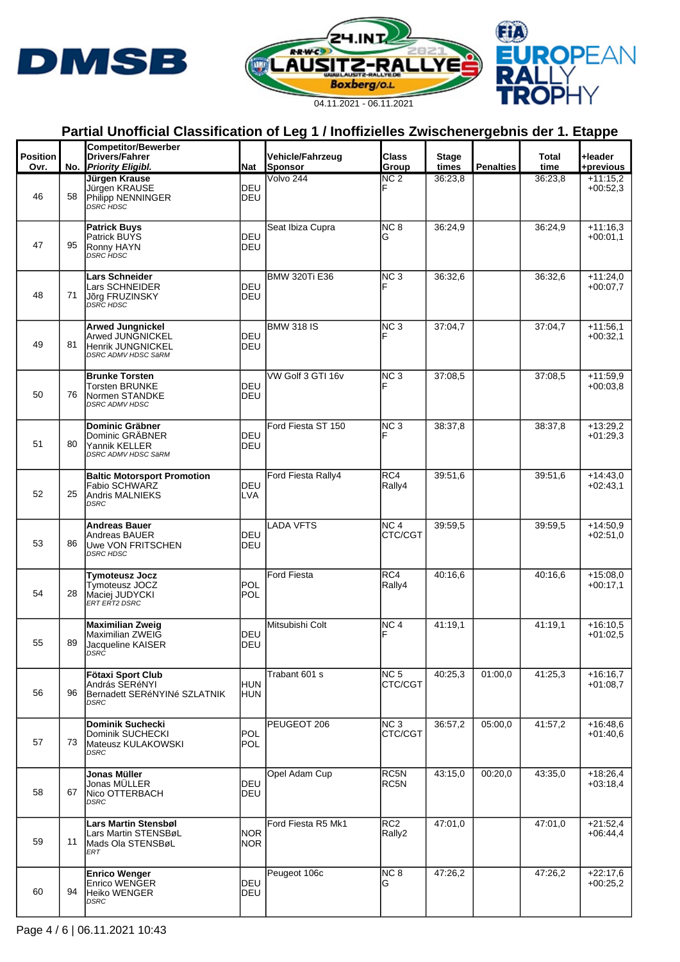





|                         |    | <b>Competitor/Bewerber</b>                                                                     |                    |                             |                            |                       |                  |               |                          |
|-------------------------|----|------------------------------------------------------------------------------------------------|--------------------|-----------------------------|----------------------------|-----------------------|------------------|---------------|--------------------------|
| <b>Position</b><br>Ovr. |    | <b>Drivers/Fahrer</b><br>No. Priority Eligibl.                                                 | Nat                | Vehicle/Fahrzeug<br>Sponsor | Class<br>Group             | <b>Stage</b><br>times | <b>Penalties</b> | Total<br>time | +leader<br>+previous     |
|                         |    | Jürgen Krause                                                                                  |                    | Volvo 244                   | NC <sub>2</sub>            | 36:23,8               |                  | 36:23,8       | $+11:15.2$               |
| 46                      | 58 | Jürgen KRAUSE<br>Philipp NENNINGER<br>DSRĊ HDSC                                                | DEU<br>DEU         |                             | F                          |                       |                  |               | $+00:52,3$               |
| 47                      | 95 | <b>Patrick Buys</b><br><b>Patrick BUYS</b><br>Ronny HAYN<br>DSRC HDSC                          | DEU<br>DEU         | Seat Ibiza Cupra            | NC <sub>8</sub><br>G       | 36:24,9               |                  | 36:24,9       | $+11:16,3$<br>$+00:01,1$ |
| 48                      | 71 | <b>Lars Schneider</b><br>Lars SCHNEIDER<br>Jõrg FRUZINSKY<br>DSRC HDSC                         | DEU<br>DEU         | <b>BMW 320Ti E36</b>        | NC <sub>3</sub>            | 36:32,6               |                  | 36:32.6       | $+11:24,0$<br>$+00:07.7$ |
| 49                      | 81 | <b>Arwed Jungnickel</b><br>Arwed JUNGNICKEL<br>Henrik JUNGNICKEL<br><b>DSRC ADMV HDSC SäRM</b> | DEU<br>DEU         | <b>BMW 318 IS</b>           | NC <sub>3</sub>            | 37:04,7               |                  | 37:04,7       | $+11:56,1$<br>$+00:32.1$ |
| 50                      | 76 | <b>Brunke Torsten</b><br>Torsten BRUNKE<br>Normen STANDKE<br><b>DSRC ADMV HDSC</b>             | DEU<br>DEU         | VW Golf 3 GTI 16v           | NC <sub>3</sub>            | 37:08.5               |                  | 37:08,5       | $+11:59,9$<br>$+00:03.8$ |
| 51                      | 80 | Dominic Gräbner<br>Dominic GRÄBNER<br>Yannik KELLER<br>DSRC ADMV HDSC SäRM                     | DEU<br>DEU         | Ford Fiesta ST 150          | NC <sub>3</sub>            | 38:37,8               |                  | 38:37,8       | $+13:29,2$<br>$+01:29.3$ |
| 52                      | 25 | <b>Baltic Motorsport Promotion</b><br>Fabio SCHWARZ<br><b>Andris MALNIEKS</b><br><b>DSRC</b>   | DEU<br><b>LVA</b>  | Ford Fiesta Rally4          | RC4<br>Rally4              | 39:51.6               |                  | 39:51,6       | $+14:43.0$<br>$+02:43.1$ |
| 53                      | 86 | <b>Andreas Bauer</b><br>Andreas BAUER<br>Uwe VON FRITSCHEN<br><b>DSRC HDSC</b>                 | DEU<br>DEU         | LADA VFTS                   | NC 4<br>CTC/CGT            | 39:59,5               |                  | 39:59.5       | $+14:50.9$<br>$+02:51.0$ |
| 54                      | 28 | <b>Tymoteusz Jocz</b><br>Tymoteusz JOCZ<br>Maciej JUDYCKI<br>ERT ERT2 DSRC                     | POL<br>POL         | <b>Ford Fiesta</b>          | RC4<br>Rally4              | 40:16,6               |                  | 40:16.6       | $+15:08.0$<br>$+00:17,1$ |
| 55                      | 89 | <b>Maximilian Zweig</b><br>Maximilian ZWEIG<br>Jacqueline KAISER<br>טהכע                       | DEU<br>DEU         | Mitsubishi Colt             | NC <sub>4</sub>            | 41:19.1               |                  | 41:19.1       | $+16:10.5$<br>$+01:02.5$ |
| 56                      | 96 | Fötaxi Sport Club<br>András SERéNYI<br>Bernadett SERéNYINé SZLATNIK<br><b>DSRC</b>             | <b>HUN</b><br>HUN  | Trabant 601 s               | NC <sub>5</sub><br>CTC/CGT | 40:25,3               | 01:00,0          | 41:25,3       | $+16:16,7$<br>$+01:08,7$ |
| 57                      | 73 | Dominik Suchecki<br>Dominik SUCHECKI<br>Mateusz KULAKOWSKI<br><b>DSRC</b>                      | <b>POL</b><br>POL  | PEUGEOT 206                 | NC <sub>3</sub><br>CTC/CGT | 36:57,2               | 05:00,0          | 41:57,2       | $+16:48,6$<br>$+01:40,6$ |
| 58                      | 67 | Jonas Müller<br>Jonas MÜLLER<br>Nico OTTERBACH<br><b>DSRC</b>                                  | DEU<br>DEU         | Opel Adam Cup               | RC5N<br>RC5N               | 43:15,0               | 00:20,0          | 43:35,0       | $+18:26,4$<br>$+03:18,4$ |
| 59                      | 11 | <b>Lars Martin Stensbøl</b><br>Lars Martin STENSBøL<br>Mads Ola STENSBøL<br>ERT                | <b>NOR</b><br>NOR. | Ford Fiesta R5 Mk1          | RC <sub>2</sub><br>Rally2  | 47:01,0               |                  | 47:01,0       | $+21:52,4$<br>$+06:44,4$ |
| 60                      | 94 | <b>Enrico Wenger</b><br>Enrico WENGER<br>Heiko WENGER<br>DSRC                                  | DEU<br>DEU         | Peugeot 106c                | NC <sub>8</sub><br>G       | 47:26,2               |                  | 47:26,2       | $+22:17,6$<br>$+00:25,2$ |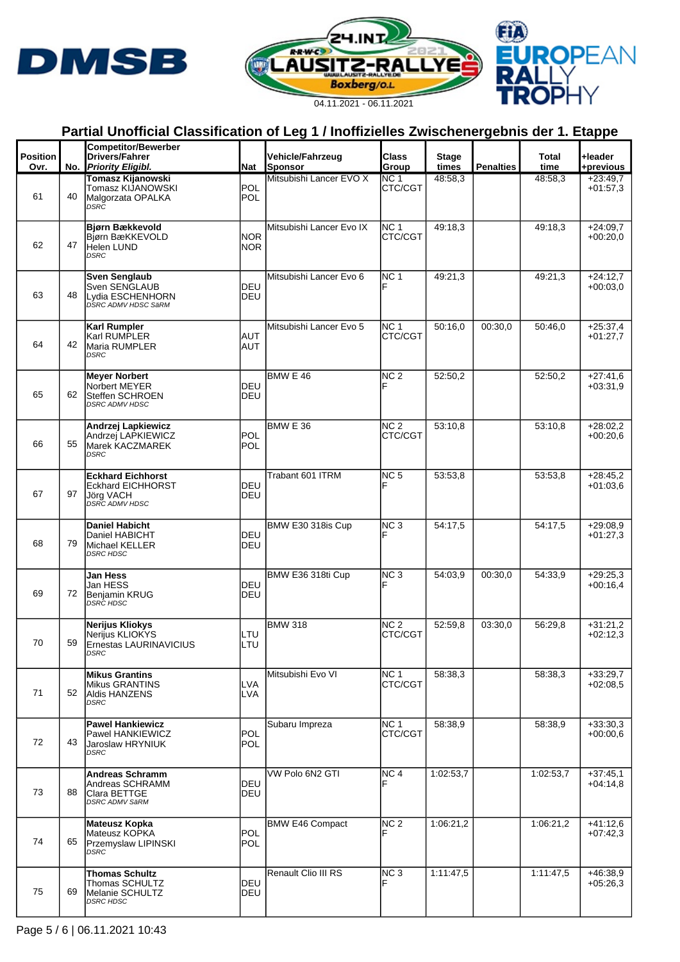





|                         |    | <b>Competitor/Bewerber</b>                                                                |                          |                             |                            |                       |                  |               |                          |
|-------------------------|----|-------------------------------------------------------------------------------------------|--------------------------|-----------------------------|----------------------------|-----------------------|------------------|---------------|--------------------------|
| <b>Position</b><br>Ovr. |    | <b>Drivers/Fahrer</b><br>No. Priority Eligibl.                                            | <b>Nat</b>               | Vehicle/Fahrzeug<br>Sponsor | Class<br>Group             | <b>Stage</b><br>times | <b>Penalties</b> | Total<br>time | +leader<br>+previous     |
| 61                      | 40 | <b>Tomasz Kijanowski</b><br>Tomasz KIJANOWSKI<br>Malgorzata OPALKA<br>DSRC                | <b>POL</b><br><b>POL</b> | Mitsubishi Lancer EVO X     | NC 1<br>CTC/CGT            | 48:58.3               |                  | 48:58,3       | $+23:49.7$<br>$+01:57,3$ |
| 62                      | 47 | Bjørn Bækkevold<br>Bjørn BæKKEVOLD<br>Helen LUND<br><b>DSRC</b>                           | <b>NOR</b><br><b>NOR</b> | Mitsubishi Lancer Evo IX    | NC <sub>1</sub><br>CTC/CGT | 49:18.3               |                  | 49:18.3       | $+24:09.7$<br>$+00:20,0$ |
| 63                      | 48 | <b>Sven Senglaub</b><br>Sven SENGLAUB<br>Lydia ESCHENHORN<br>DSRC ADMV HDSC SäRM          | DEU<br>DEU               | Mitsubishi Lancer Evo 6     | NC <sub>1</sub><br>F       | 49:21,3               |                  | 49:21,3       | $+24:12.7$<br>$+00:03.0$ |
| 64                      | 42 | Karl Rumpler<br>Karl RUMPLER<br>Maria RUMPLER<br><b>DSRC</b>                              | <b>AUT</b><br><b>AUT</b> | Mitsubishi Lancer Evo 5     | NC <sub>1</sub><br>CTC/CGT | 50:16,0               | 00:30,0          | 50:46.0       | $+25:37,4$<br>$+01:27.7$ |
| 65                      | 62 | <b>Meyer Norbert</b><br>Norbert MEYER<br>Steffen SCHROEN<br><b>DSRC ADMV HDSC</b>         | DEU<br>DEU               | BMW $E$ 46                  | NC <sub>2</sub><br>F       | 52:50,2               |                  | 52:50,2       | $+27:41,6$<br>$+03:31.9$ |
| 66                      | 55 | Andrzej Lapkiewicz<br>Andrzei LAPKIEWICZ<br>Marek KACZMAREK<br><b>DSRC</b>                | <b>POL</b><br><b>POL</b> | <b>BMW E 36</b>             | NC <sub>2</sub><br>CTC/CGT | 53:10.8               |                  | 53:10,8       | $+28:02,2$<br>$+00:20,6$ |
| 67                      | 97 | <b>Eckhard Eichhorst</b><br><b>Eckhard EICHHORST</b><br>Jörg VACH<br>DSRC ADMV HDSC       | DEU<br>DEU               | Trabant 601 ITRM            | NC <sub>5</sub>            | 53:53.8               |                  | 53:53,8       | $+28:45.2$<br>$+01:03.6$ |
| 68                      | 79 | <b>Daniel Habicht</b><br>Daniel HABICHT<br>Michael KELLER<br><b>DSRC HDSC</b>             | <b>DEU</b><br>DEU        | BMW E30 318is Cup           | NC <sub>3</sub>            | 54:17,5               |                  | 54:17,5       | $+29:08,9$<br>$+01:27,3$ |
| 69                      | 72 | Jan Hess<br>Jan HESS<br>Benjamin KRUG<br><b>DSRC HDSC</b>                                 | DEU<br>DEU               | BMW E36 318ti Cup           | NC <sub>3</sub>            | 54:03.9               | 00:30,0          | 54:33.9       | $+29:25.3$<br>$+00:16,4$ |
| 70                      | 59 | Nerijus Kliokys<br>Nerijus KLIOKYS<br>Ernestas LAURINAVICIUS<br>DSRC                      | LTU<br>LTU               | <b>BMW 318</b>              | NC <sub>2</sub><br>CTC/CGT | 52:59.8               | 03:30,0          | 56:29,8       | $+31:21,2$<br>$+02:12,3$ |
| 71                      | 52 | <b>Mikus Grantins</b><br>Mikus GRANTINS<br><b>Aldis HANZENS</b><br>DSRC                   | LVA<br><b>LVA</b>        | Mitsubishi Evo VI           | NC <sub>1</sub><br>CTC/CGT | 58:38.3               |                  | 58:38,3       | $+33:29,7$<br>$+02:08.5$ |
| 72                      | 43 | <b>Pawel Hankiewicz</b><br>Pawel HANKIEWICZ<br>Jaroslaw HRYNIUK<br>DSRC                   | POL<br><b>POL</b>        | Subaru Impreza              | NC <sub>1</sub><br>CTC/CGT | 58:38,9               |                  | 58:38.9       | $+33:30,3$<br>$+00:00,6$ |
| 73                      | 88 | <b>Andreas Schramm</b><br>Andreas SCHRAMM<br><b>Clara BETTGE</b><br><b>DSRC ADMV SäRM</b> | DEU<br>DEU               | VW Polo 6N2 GTI             | NC <sub>4</sub>            | 1:02:53,7             |                  | 1:02:53,7     | +37:45,1<br>$+04:14,8$   |
| 74                      | 65 | Mateusz Kopka<br>Mateusz KOPKA<br>Przemyslaw LIPINSKI<br><b>DSRC</b>                      | POL<br><b>POL</b>        | <b>BMW E46 Compact</b>      | NC <sub>2</sub>            | 1:06:21,2             |                  | 1:06:21,2     | $+41:12,6$<br>$+07:42.3$ |
| 75                      | 69 | Thomas Schultz<br>Thomas SCHULTZ<br>Melanie SCHULTZ<br><b>DSRC HDSC</b>                   | DEU<br>DEU               | Renault Clio III RS         | NC <sub>3</sub>            | 1:11:47,5             |                  | 1:11:47.5     | $+46:38,9$<br>$+05:26,3$ |